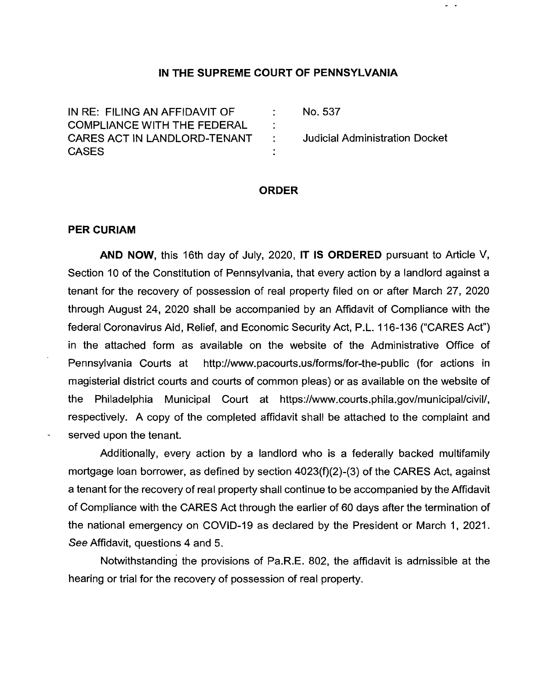### **IN THE SUPREME COURT OF PENNSYLVANIA**

 $\frac{1}{2}$  .

| IN RE: FILING AN AFFIDAVIT OF      | No. 537                        |
|------------------------------------|--------------------------------|
| <b>COMPLIANCE WITH THE FEDERAL</b> |                                |
| CARES ACT IN LANDLORD-TENANT :     | Judicial Administration Docket |
| CASES                              |                                |

### **ORDER**

#### **PER CURIAM**

**AND NOW,** this 16th day of July, 2020, **IT IS ORDERED** pursuant to Article V, Section 10 of the Constitution of Pennsylvania, that every action by a landlord against a tenant for the recovery of possession of real property filed on or after March 27, 2020 through August 24, 2020 shall be accompanied by an Affidavit of Compliance with the federal Coronavirus Aid, Relief, and Economic Security Act, P.L. 1 16-1 36 ("CARES Act") in the attached form as available on the website of the Administrative Office of Pennsylvania Courts at http://www.pacourts.us/forms/for-the-public (for actions in magisterial district courts and courts of common pleas) or as available on the website of the Philadelphia Municipal Court at https://www.courts.phila.gov/municipal/civil/, respectively. A copy of the completed affidavit shall be attached to the complaint and served upon the tenant.

Additionally, every action by a landlord who is a federally backed multifamily mortgage loan borrower, as defined by section 4023(f)(2)-(3) of the CARES Act, against a tenant for the recovery of real property shall continue to be accompanied by the Affidavit of Compliance with the CARES Act through the earlier of 60 days after the termination of the national emergency on COVID-19 as declared by the President or March 1, 2021. See Affidavit, questions 4 and 5.

Notwithstanding the provisions of Pa.R.E. 802, the affidavit is adrnissible at the hearing or trial for the recovery of possession of real property.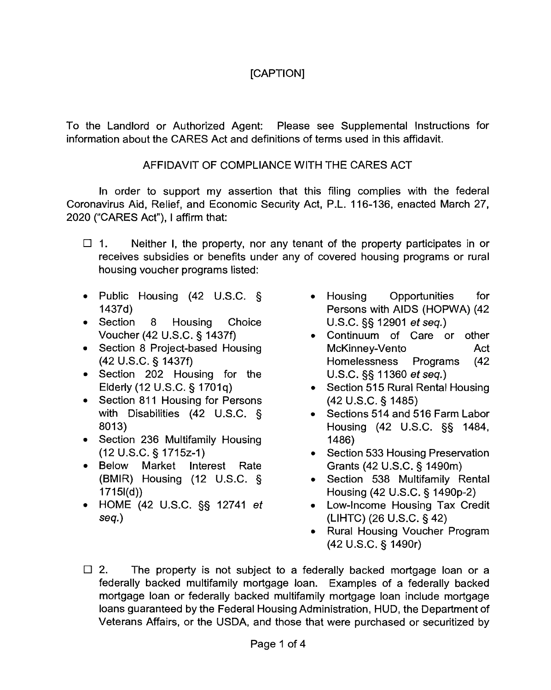# [CAPTION]

To the Landlord or Authorized Agent: Please see Supplemental Instructions for information about the CARES Act and definitions of terms used in this affidavit.

# AFFIDAVIT OF COMPLIANCE WITH 'THE CARES ACT

In order to support my assertion that this filing complies with the federal Coronavirus Aid, Relief, and Economic Security Act, P.L. 116-136, enacted March 27, 2020 ("CARES Act"), I affirm that:

- $\Box$  1. Neither I, the property, nor any tenant of the property participates in or receives subsidies or benefits under any of covered housing programs or rural housing voucher programs listed:
- Public Housing (42 U.S.C. § 1437d)
- Section 8 Housing Choice Voucher (42 U.S.C. § 1437f)
- Section 8 Project-based Housing (42 U.S.C. § 1437f)
- Section 202 Housing for the Elderly (12 U.S.C. § 1701q)
- Section 811 Housing for Persons with Disabilities (42 U.S.C. § 8013)
- Section 236 Multifamily Housing (12 U.S.C. \$j 1715~-1)
- Below Market Interest Rate (BMIR) Housing (12 U.S.C. § 17151(d))
- HOME (42 U.S.C. §§ 12741 et seg.)
- Housing Opportunities for Persons with AIDS (HOPWA) (42 U.S.C. 5s 12901 et seq.)
- Continuum of Care or other McKinney-Vento Act Homelessness Programs (42 U.S.C. §§ 1 1360 et seq.)
- Section 515 Rural Rental Housing (42 U.S.C. 5 1485)
- Sections 514 and 516 Farm Labor Housing (42 U.S.C. §§ 1484, 1486)
- Section 533 Housing Preservation Grants (42 U.S.C. § 1490m)
- Section 538 Multifamily Rental Housing (42 U.S.C. § 1490p-2)
- Low-Income Housing Tax Credit (LIHTC) (26 U.S.C. 5 42)
- Rural Housing Voucher Program (42 U.S.C. § 1490r)
- $\Box$  2. The property is not subject to a federally backed mortgage loan or a federally backed multifamily mortgage loan. Examples of a federally backed mortgage loan or federally backed multifamily mortgage loan include mortgage loans guaranteed by the Federal Housing Administration, HUD, the Department of Veterans Affairs, or the USDA, and those that were purchased or securitized by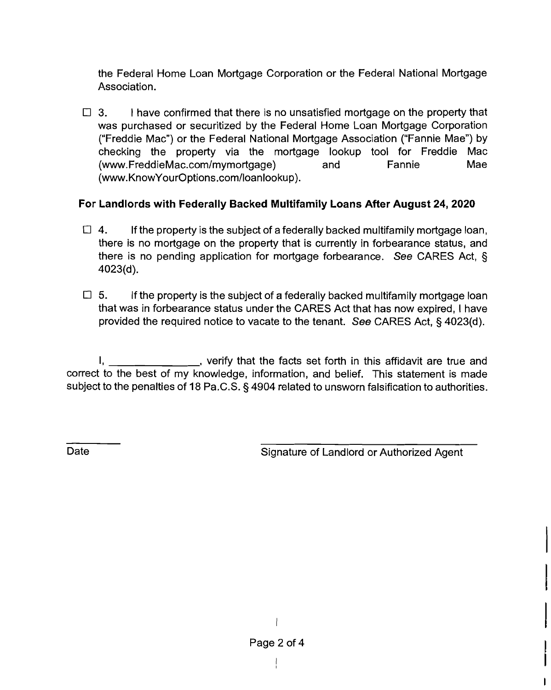the Federal Home Loan Mortgage Corporation or the Federal National Mortgage Association.

**3. 1** have confirmed that there is no unsatisfied mortgage on the property that was purchased or securitized by the Federal Home Loan Mortgage Corporation ("Freddie Mac") or the Federal National Mortgage Association ("Fannie Mae") by checking the property via the mortgage lookup tool for Freddie Mac (www.FreddieMac.com/mymortgage) and Fannie Mae (www.KnowYourOptions.com/loanlookup).

# For Landlords with Federally Backed Multifamily Loans After August **24,2020**

- $\Box$  4. If the property is the subject of a federally backed multifamily mortgage loan, there is no mortgage on the property that is currently in forbearance status, and there is no pending application for mortgage forbearance. See CARES Act, § 4023(d).
- **5.** If the property is the subject of a federally backed multifamily mortgage loan that was in forbearance status under the CARES Act that has now expired, I have provided the required notice to vacate to the tenant. See CARES Act,  $\S$  4023(d).

1, 1, the set forth in this affidavit are true and correct to the best of my knowledge, information, and belief. This statement is made subject to the penalties of 18 Pa.C.S. § 4904 related to unsworn falsification to authorities.

Date **Signature of Landlord or Authorized Agent**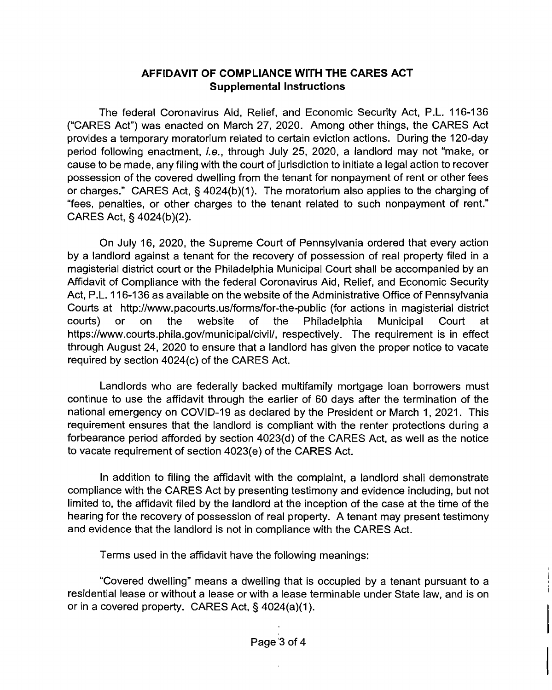## AFFIDAVIT OF COMPLIANCE WITH THE CARES ACT Supplemental Instructions

The federal Coronavirus Aid, Relief, and Economic Security Act, P.L. 116-136 ("CARES Act") was enacted on March 27, 2020. Among other things, the CARES Act provides a temporary moratorium related to certain eviction actions. During the 120-day period following enactment, **i.e.,** through July 25, 2020, a landlord may not "make, or cause to be made, any filing with the court of jurisdiction to initiate a legal action to recover possession of the covered dwelling from the tenant for nonpayment of rent or other fees or charges." CARES Act,  $\S$  4024(b)(1). The moratorium also applies to the charging of "fees, penalties, or other charges to the tenant related to such nonpayment of rent." CARES Act, § 4024(b)(2).

On July 16, 2020, the Supreme Court of Pennsylvania ordered that every action by a landlord against a tenant for the recovery of possession of real property filed in a magisterial district court or the Philadelphia Municipal Court shall be accompanied by an Affidavit of Compliance with the federal Coronavirus Aid, Relief, and Economic Security Act, P.L. 116-136 as available on the website of the Administrative Office of Pennsylvania Courts at http://www.pacourts.us/forms/for-the-public (for actions in magisterial district courts) or on the website of the Philadelphia Municipal Court at https://www.courts.phila.gov/municipal/civil/, respectively. The requirement is in effect through August 24, 2020 to ensure that a landlord has given the proper notice to vacate required by section 4024(c) of the CARES Act.

Landlords who are federally backed multifamily mortgage loan borrowers must continue to use the affidavit through the earlier of 60 days after the termination of the national emergency on COVID-19 as declared by the President or March I, 2021. This requirement ensures that the landlord is compliant with the renter protections during a forbearance period afforded by section 4023(d) of the CARES Act, as well as the notice to vacate requirement of section 4023(e) of the CARES Act.

In addition to filing the affidavit with the complaint, a landlord shall demonstrate compliance with the CARES Act by presenting testimony and evidence including, but not limited to, the affidavit filed by the landlord at the inception of the case at the time of the hearing for the recovery of possession of real property. A tenant may present testimony and evidence that the landlord is not in compliance with the CARES Act.

Terms used in the affidavit have the following meanings:

"Covered dwelling" means a dwelling that is occupied by a tenant pursuant to a residential lease or without a lease or with a lease terminable under State law, and is on or in a covered property. CARES Act, § 4024(a)(I).